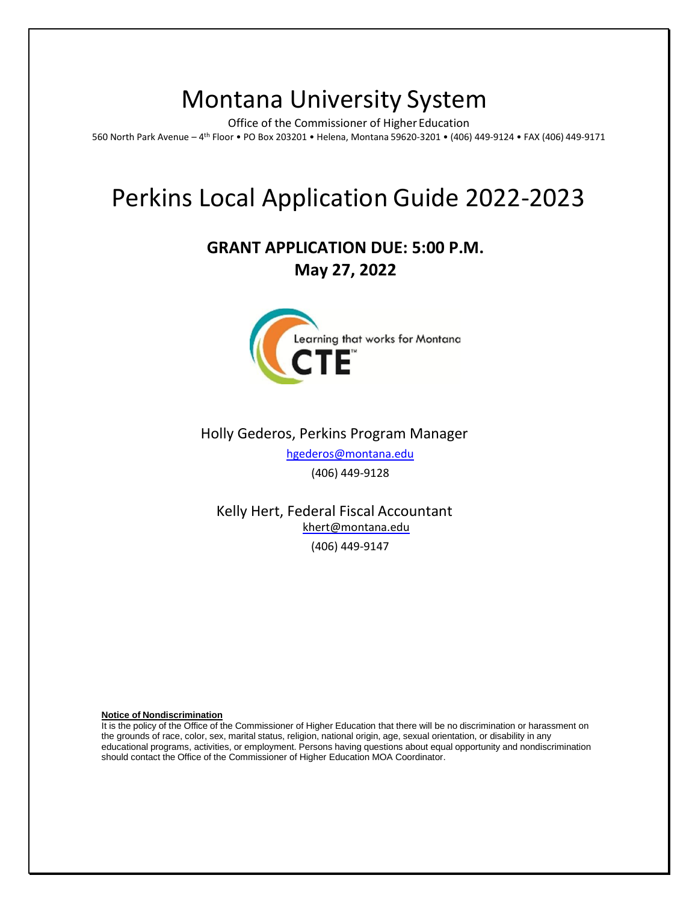# Montana University System

Office of the Commissioner of Higher Education 560 North Park Avenue – 4 th Floor • PO Box 203201 • Helena, Montana 59620-3201 • (406) 449-9124 • FAX (406) 449-9171

## Perkins Local Application Guide 2022-2023

## **GRANT APPLICATION DUE: 5:00 P.M. May 27, 2022**



## Holly Gederos, Perkins Program Manager [hgederos@montana.edu](mailto:jtreaster@montana.edu)

(406) 449-9128

Kelly Hert, Federal Fiscal Accountant [khert@montana.edu](mailto:khert@montana.edu) (406) 449-9147

**Notice of Nondiscrimination**

It is the policy of the Office of the Commissioner of Higher Education that there will be no discrimination or harassment on the grounds of race, color, sex, marital status, religion, national origin, age, sexual orientation, or disability in any educational programs, activities, or employment. Persons having questions about equal opportunity and nondiscrimination should contact the Office of the Commissioner of Higher Education MOA Coordinator.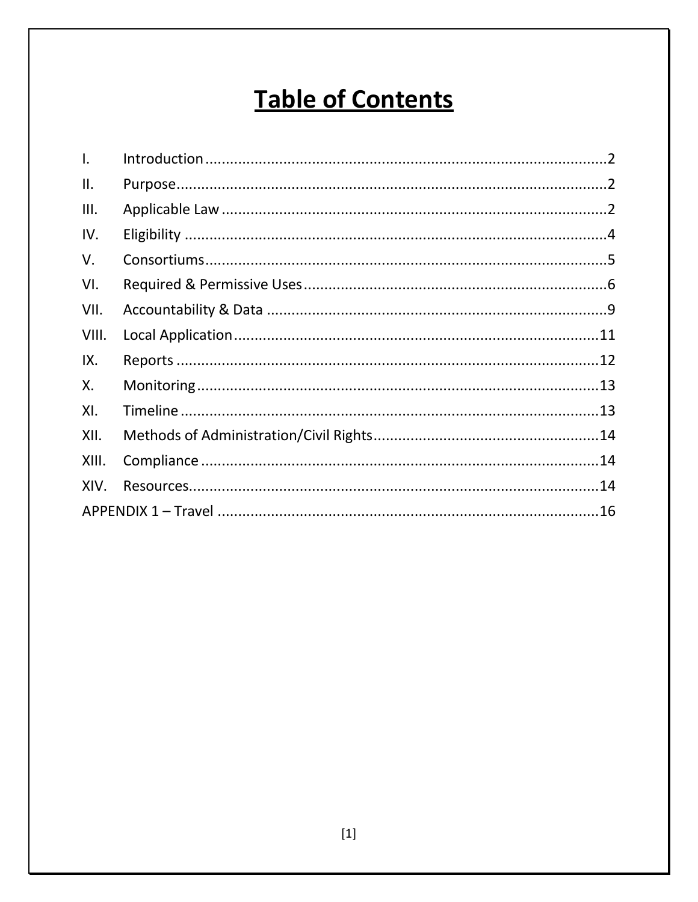# **Table of Contents**

| $\mathsf{L}$ |  |
|--------------|--|
| Ш.           |  |
| III.         |  |
| IV.          |  |
| V.           |  |
| VI.          |  |
| VII.         |  |
| VIII.        |  |
| IX.          |  |
| Х.           |  |
| XI.          |  |
| XII.         |  |
| XIII.        |  |
| XIV.         |  |
|              |  |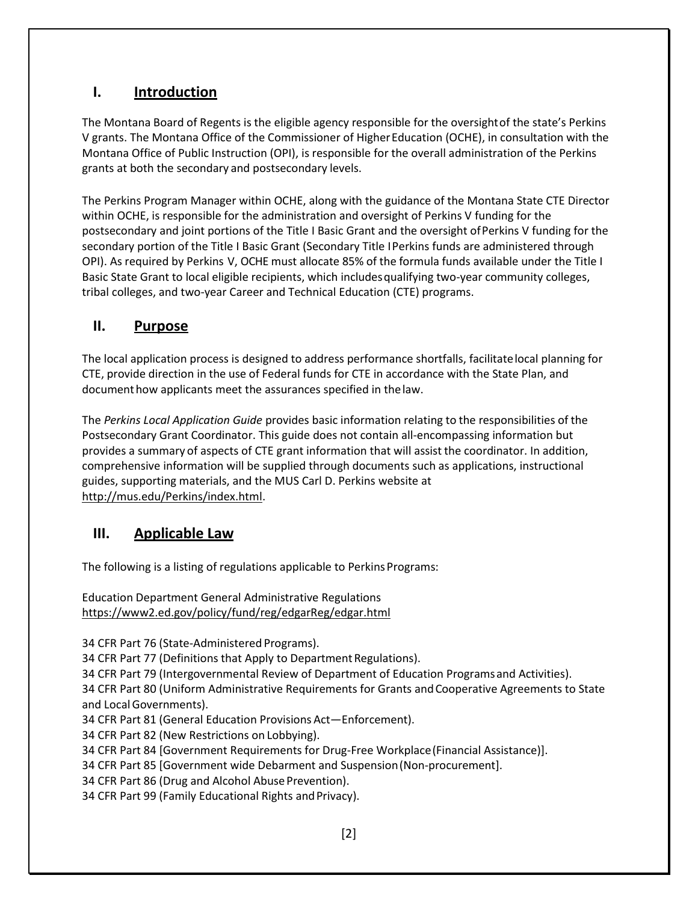## <span id="page-2-0"></span>**I. Introduction**

The Montana Board of Regents is the eligible agency responsible for the oversightof the state's Perkins V grants. The Montana Office of the Commissioner of HigherEducation (OCHE), in consultation with the Montana Office of Public Instruction (OPI), is responsible for the overall administration of the Perkins grants at both the secondary and postsecondary levels.

The Perkins Program Manager within OCHE, along with the guidance of the Montana State CTE Director within OCHE, is responsible for the administration and oversight of Perkins V funding for the postsecondary and joint portions of the Title I Basic Grant and the oversight ofPerkins V funding for the secondary portion of the Title I Basic Grant (Secondary Title IPerkins funds are administered through OPI). As required by Perkins V, OCHE must allocate 85% of the formula funds available under the Title I Basic State Grant to local eligible recipients, which includesqualifying two-year community colleges, tribal colleges, and two-year Career and Technical Education (CTE) programs.

## <span id="page-2-1"></span>**II. Purpose**

The local application process is designed to address performance shortfalls, facilitatelocal planning for CTE, provide direction in the use of Federal funds for CTE in accordance with the State Plan, and documenthow applicants meet the assurances specified in thelaw.

The *Perkins Local Application Guide* provides basic information relating to the responsibilities of the Postsecondary Grant Coordinator. This guide does not contain all-encompassing information but provides a summary of aspects of CTE grant information that will assist the coordinator. In addition, comprehensive information will be supplied through documents such as applications, instructional guides, supporting materials, and the MUS Carl D. Perkins website at [http://mus.edu/Perkins/index.html.](http://mus.edu/Perkins/index.html)

## <span id="page-2-2"></span>**III. Applicable Law**

The following is a listing of regulations applicable to Perkins Programs:

Education Department General Administrative Regulations <https://www2.ed.gov/policy/fund/reg/edgarReg/edgar.html>

34 CFR Part 76 (State-Administered Programs).

34 CFR Part 77 (Definitions that Apply to Department Regulations).

34 CFR Part 79 (Intergovernmental Review of Department of Education Programsand Activities).

34 CFR Part 80 (Uniform Administrative Requirements for Grants andCooperative Agreements to State and LocalGovernments).

34 CFR Part 81 (General Education Provisions Act—Enforcement).

34 CFR Part 82 (New Restrictions on Lobbying).

34 CFR Part 84 [Government Requirements for Drug-Free Workplace(Financial Assistance)].

34 CFR Part 85 [Government wide Debarment and Suspension(Non-procurement].

34 CFR Part 86 (Drug and Alcohol Abuse Prevention).

34 CFR Part 99 (Family Educational Rights and Privacy).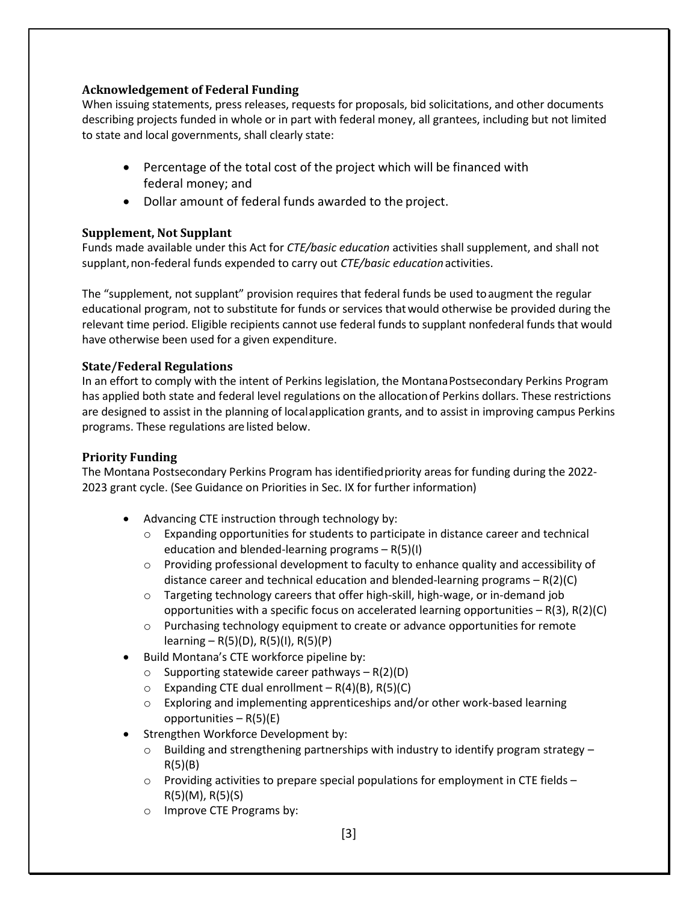#### **Acknowledgement of Federal Funding**

When issuing statements, press releases, requests for proposals, bid solicitations, and other documents describing projects funded in whole or in part with federal money, all grantees, including but not limited to state and local governments, shall clearly state:

- Percentage of the total cost of the project which will be financed with federal money; and
- Dollar amount of federal funds awarded to the project.

#### **Supplement, Not Supplant**

Funds made available under this Act for *CTE/basic education* activities shall supplement, and shall not supplant, non-federal funds expended to carry out *CTE/basic education* activities.

The "supplement, not supplant" provision requires that federal funds be used toaugment the regular educational program, not to substitute for funds or services thatwould otherwise be provided during the relevant time period. Eligible recipients cannot use federal funds to supplant nonfederal funds that would have otherwise been used for a given expenditure.

#### **State/Federal Regulations**

In an effort to comply with the intent of Perkins legislation, the Montana Postsecondary Perkins Program has applied both state and federal level regulations on the allocationof Perkins dollars. These restrictions are designed to assist in the planning of localapplication grants, and to assist in improving campus Perkins programs. These regulations are listed below.

#### **Priority Funding**

The Montana Postsecondary Perkins Program has identifiedpriority areas for funding during the 2022- 2023 grant cycle. (See Guidance on Priorities in Sec. IX for further information)

- Advancing CTE instruction through technology by:
	- $\circ$  Expanding opportunities for students to participate in distance career and technical education and blended-learning programs – R(5)(I)
	- $\circ$  Providing professional development to faculty to enhance quality and accessibility of distance career and technical education and blended-learning programs – R(2)(C)
	- o Targeting technology careers that offer high-skill, high-wage, or in-demand job opportunities with a specific focus on accelerated learning opportunities – R(3), R(2)(C)
	- o Purchasing technology equipment to create or advance opportunities for remote learning – R(5)(D), R(5)(I), R(5)(P)
- Build Montana's CTE workforce pipeline by:
	- $\circ$  Supporting statewide career pathways R(2)(D)
	- $\circ$  Expanding CTE dual enrollment R(4)(B), R(5)(C)
	- $\circ$  Exploring and implementing apprenticeships and/or other work-based learning opportunities  $- R(5)(E)$
- Strengthen Workforce Development by:
	- $\circ$  Building and strengthening partnerships with industry to identify program strategy R(5)(B)
	- $\circ$  Providing activities to prepare special populations for employment in CTE fields R(5)(M), R(5)(S)
	- o Improve CTE Programs by: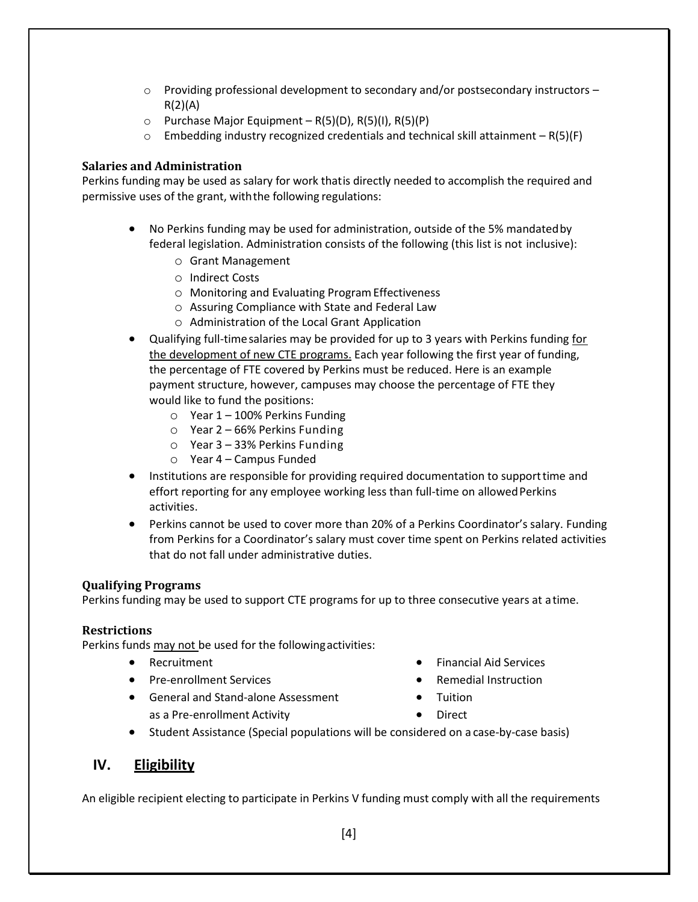- $\circ$  Providing professional development to secondary and/or postsecondary instructors  $R(2)(A)$
- $\circ$  Purchase Major Equipment R(5)(D), R(5)(I), R(5)(P)
- $\circ$  Embedding industry recognized credentials and technical skill attainment R(5)(F)

#### **Salaries and Administration**

Perkins funding may be used as salary for work thatis directly needed to accomplish the required and permissive uses of the grant, withthe following regulations:

- No Perkins funding may be used for administration, outside of the 5% mandatedby federal legislation. Administration consists of the following (this list is not inclusive):
	- o Grant Management
	- o Indirect Costs
	- o Monitoring and Evaluating ProgramEffectiveness
	- o Assuring Compliance with State and Federal Law
	- o Administration of the Local Grant Application
- Qualifying full-timesalaries may be provided for up to 3 years with Perkins funding for the development of new CTE programs. Each year following the first year of funding, the percentage of FTE covered by Perkins must be reduced. Here is an example payment structure, however, campuses may choose the percentage of FTE they would like to fund the positions:
	- o Year 1 100% Perkins Funding
	- o Year 2 66% Perkins Funding
	- o Year 3 33% Perkins Funding
	- o Year 4 Campus Funded
- Institutions are responsible for providing required documentation to supporttime and effort reporting for any employee working less than full-time on allowed Perkins activities.
- Perkins cannot be used to cover more than 20% of a Perkins Coordinator's salary. Funding from Perkins for a Coordinator's salary must cover time spent on Perkins related activities that do not fall under administrative duties.

#### **Qualifying Programs**

Perkins funding may be used to support CTE programs for up to three consecutive years at atime.

#### **Restrictions**

Perkins funds may not be used for the followingactivities:

- Recruitment
- Pre-enrollment Services
- General and Stand-alone Assessment as a Pre-enrollment Activity
- Financial Aid Services
- Remedial Instruction
- Tuition
- Direct
- Student Assistance (Special populations will be considered on a case-by-case basis)

## <span id="page-4-0"></span>**IV. Eligibility**

An eligible recipient electing to participate in Perkins V funding must comply with all the requirements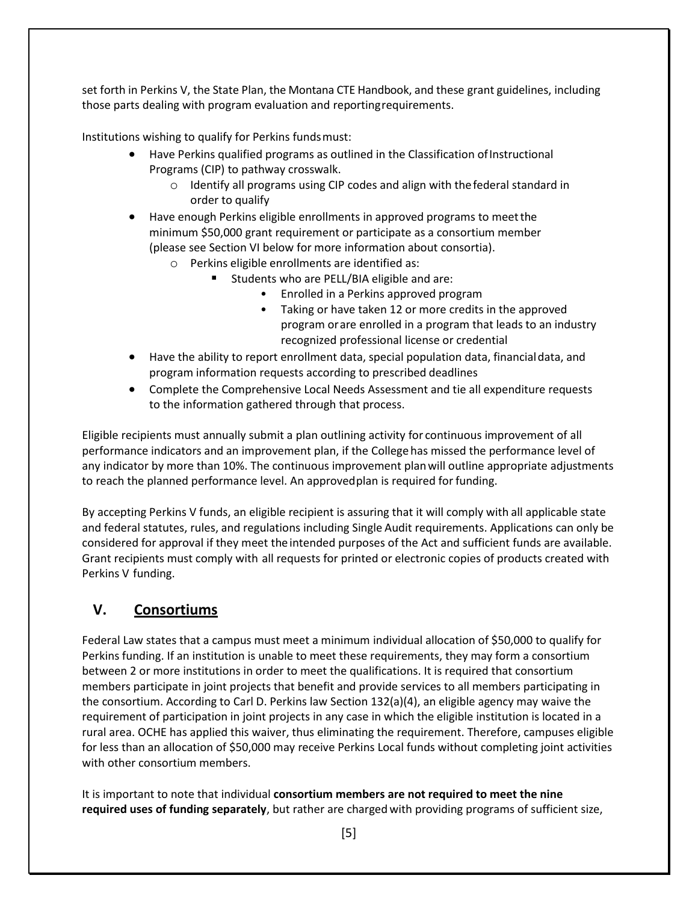set forth in Perkins V, the State Plan, the Montana CTE Handbook, and these grant guidelines, including those parts dealing with program evaluation and reportingrequirements.

Institutions wishing to qualify for Perkins fundsmust:

- Have Perkins qualified programs as outlined in the Classification of Instructional Programs (CIP) to pathway crosswalk.
	- o Identify all programs using CIP codes and align with thefederal standard in order to qualify
- Have enough Perkins eligible enrollments in approved programs to meetthe minimum \$50,000 grant requirement or participate as a consortium member (please see Section VI below for more information about consortia).
	- o Perkins eligible enrollments are identified as:
		- Students who are PELL/BIA eligible and are:
			- Enrolled in a Perkins approved program
			- Taking or have taken 12 or more credits in the approved program orare enrolled in a program that leads to an industry recognized professional license or credential
- Have the ability to report enrollment data, special population data, financialdata, and program information requests according to prescribed deadlines
- Complete the Comprehensive Local Needs Assessment and tie all expenditure requests to the information gathered through that process.

Eligible recipients must annually submit a plan outlining activity for continuous improvement of all performance indicators and an improvement plan, if the College has missed the performance level of any indicator by more than 10%. The continuous improvement planwill outline appropriate adjustments to reach the planned performance level. An approvedplan is required for funding.

By accepting Perkins V funds, an eligible recipient is assuring that it will comply with all applicable state and federal statutes, rules, and regulations including Single Audit requirements. Applications can only be considered for approval if they meet the intended purposes of the Act and sufficient funds are available. Grant recipients must comply with all requests for printed or electronic copies of products created with Perkins V funding.

## <span id="page-5-0"></span>**V. Consortiums**

Federal Law states that a campus must meet a minimum individual allocation of \$50,000 to qualify for Perkins funding. If an institution is unable to meet these requirements, they may form a consortium between 2 or more institutions in order to meet the qualifications. It is required that consortium members participate in joint projects that benefit and provide services to all members participating in the consortium. According to Carl D. Perkins law Section 132(a)(4), an eligible agency may waive the requirement of participation in joint projects in any case in which the eligible institution is located in a rural area. OCHE has applied this waiver, thus eliminating the requirement. Therefore, campuses eligible for less than an allocation of \$50,000 may receive Perkins Local funds without completing joint activities with other consortium members.

It is important to note that individual **consortium members are not required to meet the nine required uses of funding separately**, but rather are charged with providing programs of sufficient size,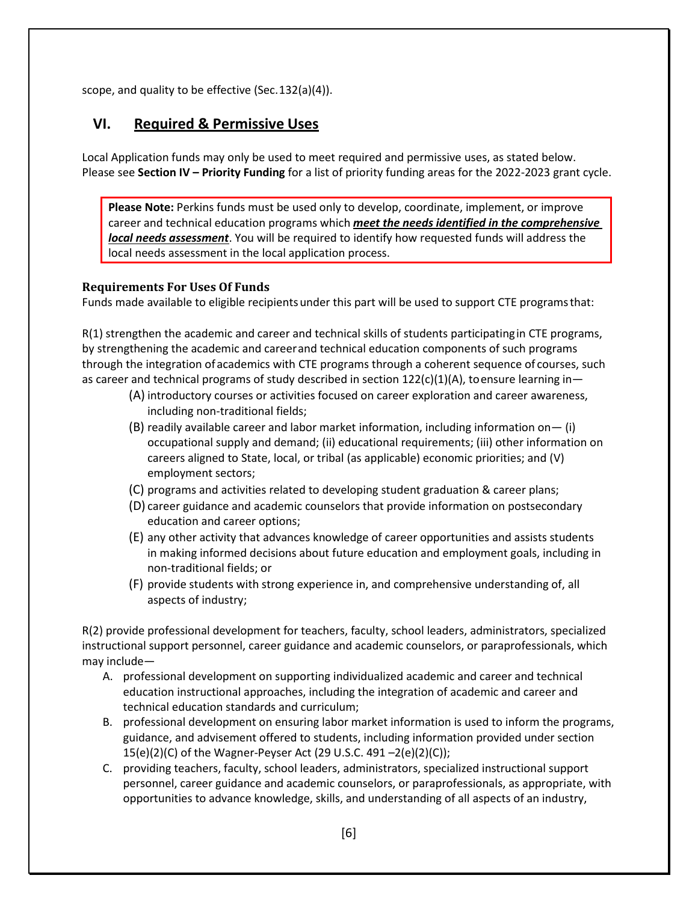scope, and quality to be effective (Sec.132(a)(4)).

## <span id="page-6-0"></span>**VI. Required & Permissive Uses**

Local Application funds may only be used to meet required and permissive uses, as stated below. Please see **Section IV – Priority Funding** for a list of priority funding areas for the 2022-2023 grant cycle.

**Please Note:** Perkins funds must be used only to develop, coordinate, implement, or improve career and technical education programs which *meet the needs identified in the comprehensive local needs assessment*. You will be required to identify how requested funds will address the local needs assessment in the local application process.

#### **Requirements For Uses Of Funds**

Funds made available to eligible recipientsunder this part will be used to support CTE programsthat:

R(1) strengthen the academic and career and technical skills of students participatingin CTE programs, by strengthening the academic and careerand technical education components of such programs through the integration ofacademics with CTE programs through a coherent sequence of courses, such as career and technical programs of study described in section  $122(c)(1)(A)$ , toensure learning in-

- (A) introductory courses or activities focused on career exploration and career awareness, including non-traditional fields;
- (B) readily available career and labor market information, including information on— (i) occupational supply and demand; (ii) educational requirements; (iii) other information on careers aligned to State, local, or tribal (as applicable) economic priorities; and (V) employment sectors;
- (C) programs and activities related to developing student graduation & career plans;
- (D) career guidance and academic counselors that provide information on postsecondary education and career options;
- (E) any other activity that advances knowledge of career opportunities and assists students in making informed decisions about future education and employment goals, including in non-traditional fields; or
- (F) provide students with strong experience in, and comprehensive understanding of, all aspects of industry;

R(2) provide professional development for teachers, faculty, school leaders, administrators, specialized instructional support personnel, career guidance and academic counselors, or paraprofessionals, which may include—

- A. professional development on supporting individualized academic and career and technical education instructional approaches, including the integration of academic and career and technical education standards and curriculum;
- B. professional development on ensuring labor market information is used to inform the programs, guidance, and advisement offered to students, including information provided under section 15(e)(2)(C) of the Wagner-Peyser Act (29 U.S.C. 491 –2(e)(2)(C));
- C. providing teachers, faculty, school leaders, administrators, specialized instructional support personnel, career guidance and academic counselors, or paraprofessionals, as appropriate, with opportunities to advance knowledge, skills, and understanding of all aspects of an industry,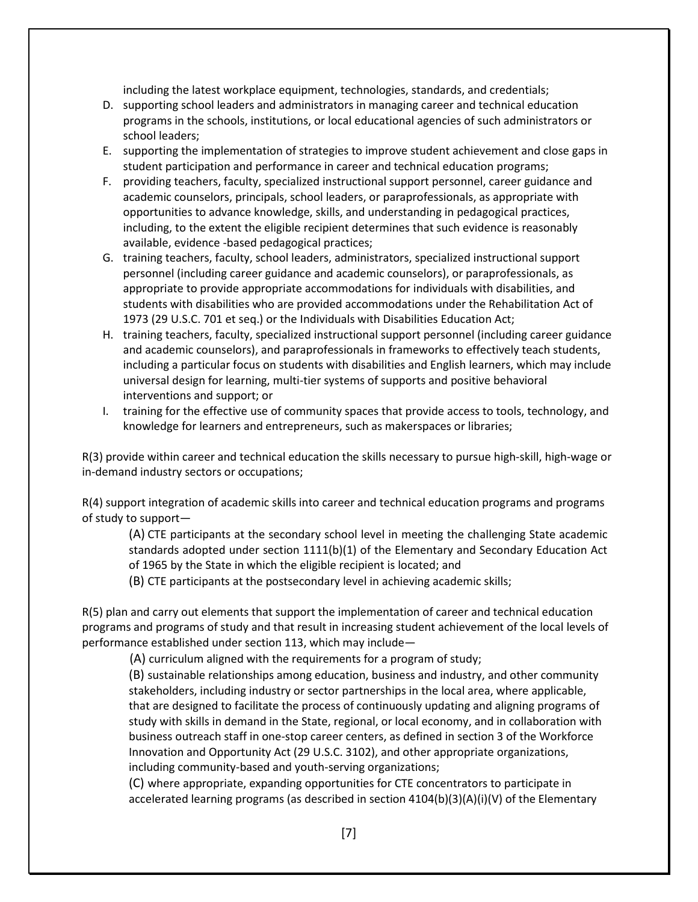including the latest workplace equipment, technologies, standards, and credentials;

- D. supporting school leaders and administrators in managing career and technical education programs in the schools, institutions, or local educational agencies of such administrators or school leaders;
- E. supporting the implementation of strategies to improve student achievement and close gaps in student participation and performance in career and technical education programs;
- F. providing teachers, faculty, specialized instructional support personnel, career guidance and academic counselors, principals, school leaders, or paraprofessionals, as appropriate with opportunities to advance knowledge, skills, and understanding in pedagogical practices, including, to the extent the eligible recipient determines that such evidence is reasonably available, evidence -based pedagogical practices;
- G. training teachers, faculty, school leaders, administrators, specialized instructional support personnel (including career guidance and academic counselors), or paraprofessionals, as appropriate to provide appropriate accommodations for individuals with disabilities, and students with disabilities who are provided accommodations under the Rehabilitation Act of 1973 (29 U.S.C. 701 et seq.) or the Individuals with Disabilities Education Act;
- H. training teachers, faculty, specialized instructional support personnel (including career guidance and academic counselors), and paraprofessionals in frameworks to effectively teach students, including a particular focus on students with disabilities and English learners, which may include universal design for learning, multi-tier systems of supports and positive behavioral interventions and support; or
- I. training for the effective use of community spaces that provide access to tools, technology, and knowledge for learners and entrepreneurs, such as makerspaces or libraries;

R(3) provide within career and technical education the skills necessary to pursue high-skill, high-wage or in-demand industry sectors or occupations;

R(4) support integration of academic skills into career and technical education programs and programs of study to support—

(A) CTE participants at the secondary school level in meeting the challenging State academic standards adopted under section 1111(b)(1) of the Elementary and Secondary Education Act of 1965 by the State in which the eligible recipient is located; and

(B) CTE participants at the postsecondary level in achieving academic skills;

R(5) plan and carry out elements that support the implementation of career and technical education programs and programs of study and that result in increasing student achievement of the local levels of performance established under section 113, which may include—

(A) curriculum aligned with the requirements for a program of study;

(B) sustainable relationships among education, business and industry, and other community stakeholders, including industry or sector partnerships in the local area, where applicable, that are designed to facilitate the process of continuously updating and aligning programs of study with skills in demand in the State, regional, or local economy, and in collaboration with business outreach staff in one-stop career centers, as defined in section 3 of the Workforce Innovation and Opportunity Act (29 U.S.C. 3102), and other appropriate organizations, including community-based and youth-serving organizations;

(C) where appropriate, expanding opportunities for CTE concentrators to participate in accelerated learning programs (as described in section 4104(b)(3)(A)(i)(V) of the Elementary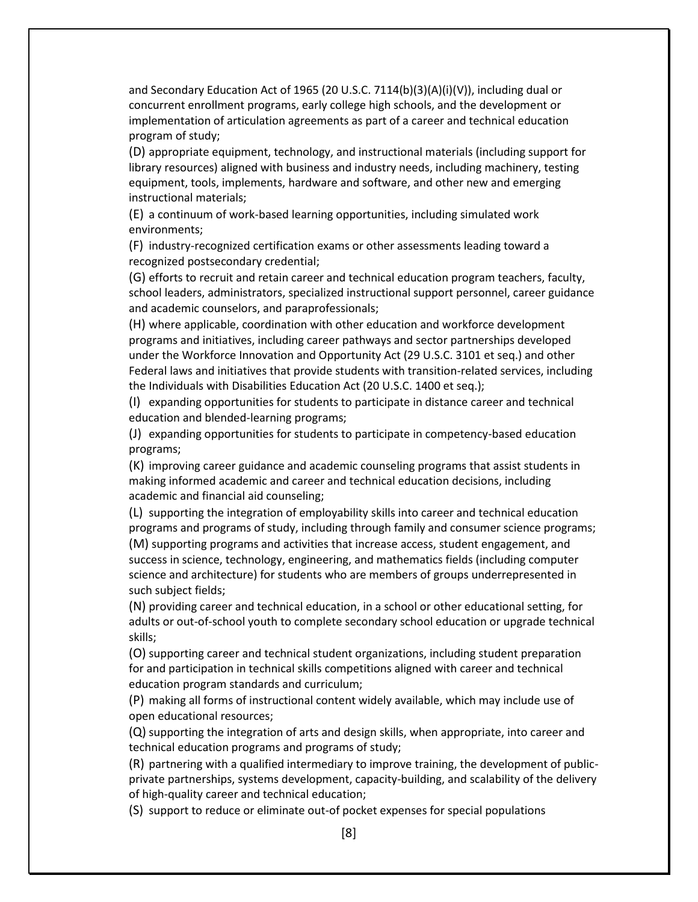and Secondary Education Act of 1965 (20 U.S.C. 7114(b)(3)(A)(i)(V)), including dual or concurrent enrollment programs, early college high schools, and the development or implementation of articulation agreements as part of a career and technical education program of study;

(D) appropriate equipment, technology, and instructional materials (including support for library resources) aligned with business and industry needs, including machinery, testing equipment, tools, implements, hardware and software, and other new and emerging instructional materials;

(E) a continuum of work-based learning opportunities, including simulated work environments;

(F) industry-recognized certification exams or other assessments leading toward a recognized postsecondary credential;

(G) efforts to recruit and retain career and technical education program teachers, faculty, school leaders, administrators, specialized instructional support personnel, career guidance and academic counselors, and paraprofessionals;

(H) where applicable, coordination with other education and workforce development programs and initiatives, including career pathways and sector partnerships developed under the Workforce Innovation and Opportunity Act (29 U.S.C. 3101 et seq.) and other Federal laws and initiatives that provide students with transition-related services, including the Individuals with Disabilities Education Act (20 U.S.C. 1400 et seq.);

(I) expanding opportunities for students to participate in distance career and technical education and blended-learning programs;

(J) expanding opportunities for students to participate in competency-based education programs;

(K) improving career guidance and academic counseling programs that assist students in making informed academic and career and technical education decisions, including academic and financial aid counseling;

(L) supporting the integration of employability skills into career and technical education programs and programs of study, including through family and consumer science programs; (M) supporting programs and activities that increase access, student engagement, and success in science, technology, engineering, and mathematics fields (including computer science and architecture) for students who are members of groups underrepresented in such subject fields;

(N) providing career and technical education, in a school or other educational setting, for adults or out-of-school youth to complete secondary school education or upgrade technical skills;

(O) supporting career and technical student organizations, including student preparation for and participation in technical skills competitions aligned with career and technical education program standards and curriculum;

(P) making all forms of instructional content widely available, which may include use of open educational resources;

(Q) supporting the integration of arts and design skills, when appropriate, into career and technical education programs and programs of study;

(R) partnering with a qualified intermediary to improve training, the development of publicprivate partnerships, systems development, capacity-building, and scalability of the delivery of high-quality career and technical education;

(S) support to reduce or eliminate out-of pocket expenses for special populations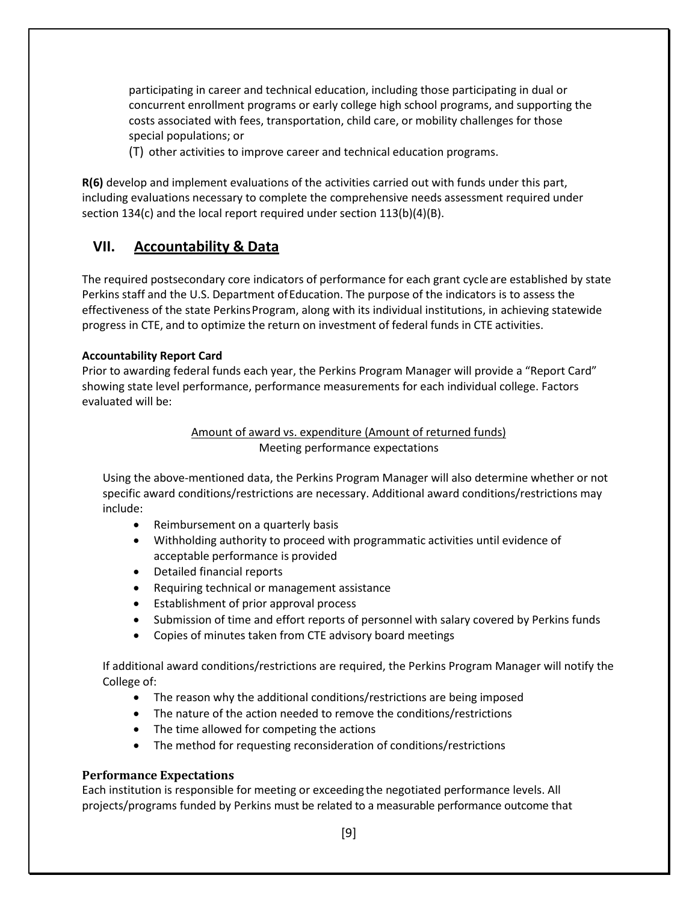participating in career and technical education, including those participating in dual or concurrent enrollment programs or early college high school programs, and supporting the costs associated with fees, transportation, child care, or mobility challenges for those special populations; or

(T) other activities to improve career and technical education programs.

**R(6)** develop and implement evaluations of the activities carried out with funds under this part, including evaluations necessary to complete the comprehensive needs assessment required under section 134(c) and the local report required under section 113(b)(4)(B).

## <span id="page-9-0"></span>**VII. Accountability & Data**

The required postsecondary core indicators of performance for each grant cycle are established by state Perkins staff and the U.S. Department ofEducation. The purpose of the indicators is to assess the effectiveness of the state PerkinsProgram, along with its individual institutions, in achieving statewide progress in CTE, and to optimize the return on investment of federal funds in CTE activities.

#### **Accountability Report Card**

Prior to awarding federal funds each year, the Perkins Program Manager will provide a "Report Card" showing state level performance, performance measurements for each individual college. Factors evaluated will be:

#### Amount of award vs. expenditure (Amount of returned funds) Meeting performance expectations

Using the above-mentioned data, the Perkins Program Manager will also determine whether or not specific award conditions/restrictions are necessary. Additional award conditions/restrictions may include:

- Reimbursement on a quarterly basis
- Withholding authority to proceed with programmatic activities until evidence of acceptable performance is provided
- Detailed financial reports
- Requiring technical or management assistance
- Establishment of prior approval process
- Submission of time and effort reports of personnel with salary covered by Perkins funds
- Copies of minutes taken from CTE advisory board meetings

If additional award conditions/restrictions are required, the Perkins Program Manager will notify the College of:

- The reason why the additional conditions/restrictions are being imposed
- The nature of the action needed to remove the conditions/restrictions
- The time allowed for competing the actions
- The method for requesting reconsideration of conditions/restrictions

#### **Performance Expectations**

Each institution is responsible for meeting or exceeding the negotiated performance levels. All projects/programs funded by Perkins must be related to a measurable performance outcome that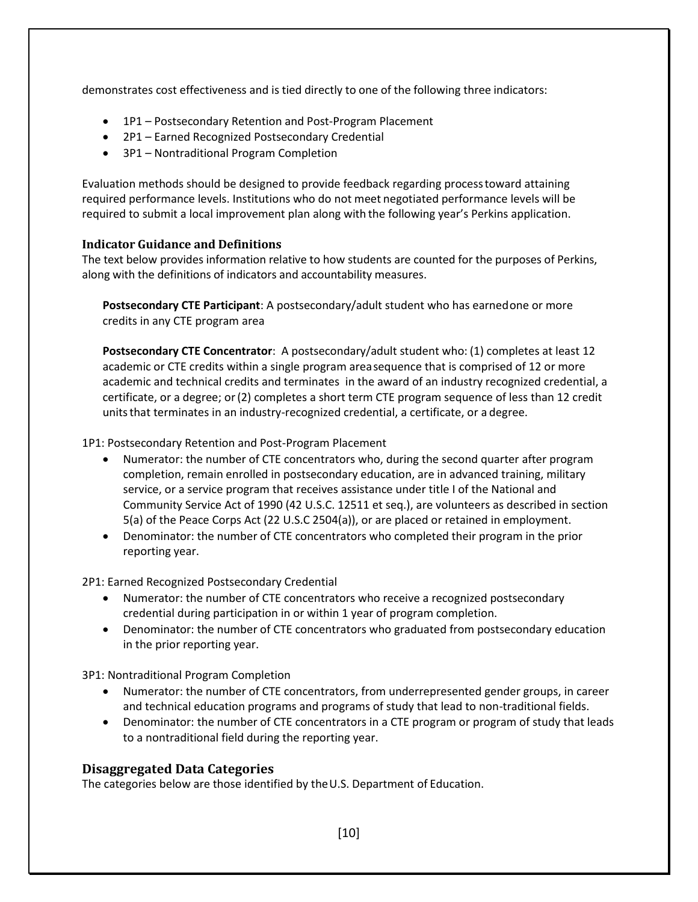demonstrates cost effectiveness and is tied directly to one of the following three indicators:

- 1P1 Postsecondary Retention and Post-Program Placement
- 2P1 Earned Recognized Postsecondary Credential
- 3P1 Nontraditional Program Completion

Evaluation methods should be designed to provide feedback regarding processtoward attaining required performance levels. Institutions who do not meet negotiated performance levels will be required to submit a local improvement plan along with the following year's Perkins application.

#### **Indicator Guidance and Definitions**

The text below provides information relative to how students are counted for the purposes of Perkins, along with the definitions of indicators and accountability measures.

**Postsecondary CTE Participant**: A postsecondary/adult student who has earnedone or more credits in any CTE program area

**Postsecondary CTE Concentrator**: A postsecondary/adult student who: (1) completes at least 12 academic or CTE credits within a single program areasequence that is comprised of 12 or more academic and technical credits and terminates in the award of an industry recognized credential, a certificate, or a degree; or(2) completes a short term CTE program sequence of less than 12 credit units that terminates in an industry-recognized credential, a certificate, or a degree.

1P1: Postsecondary Retention and Post-Program Placement

- Numerator: the number of CTE concentrators who, during the second quarter after program completion, remain enrolled in postsecondary education, are in advanced training, military service, or a service program that receives assistance under title I of the National and Community Service Act of 1990 (42 U.S.C. 12511 et seq.), are volunteers as described in section 5(a) of the Peace Corps Act (22 U.S.C 2504(a)), or are placed or retained in employment.
- Denominator: the number of CTE concentrators who completed their program in the prior reporting year.

2P1: Earned Recognized Postsecondary Credential

- Numerator: the number of CTE concentrators who receive a recognized postsecondary credential during participation in or within 1 year of program completion.
- Denominator: the number of CTE concentrators who graduated from postsecondary education in the prior reporting year.

3P1: Nontraditional Program Completion

- Numerator: the number of CTE concentrators, from underrepresented gender groups, in career and technical education programs and programs of study that lead to non-traditional fields.
- Denominator: the number of CTE concentrators in a CTE program or program of study that leads to a nontraditional field during the reporting year.

#### **Disaggregated Data Categories**

The categories below are those identified by theU.S. Department of Education.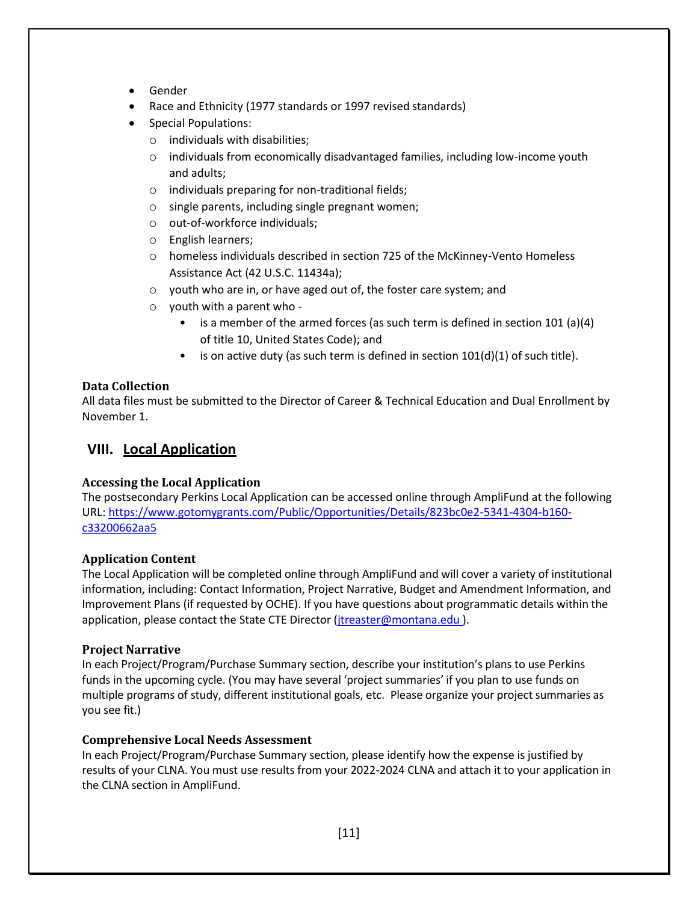- Gender
- Race and Ethnicity (1977 standards or 1997 revised standards)
- Special Populations:
	- $\circ$  individuals with disabilities;
	- $\circ$  individuals from economically disadvantaged families, including low-income youth and adults;
	- o individuals preparing for non-traditional fields;
	- o single parents, including single pregnant women;
	- o out-of-workforce individuals;
	- o English learners;
	- o homeless individuals described in section 725 of the McKinney-Vento Homeless Assistance Act (42 U.S.C. 11434a);
	- o youth who are in, or have aged out of, the foster care system; and
	- o youth with a parent who
		- is a member of the armed forces (as such term is defined in section 101 (a)(4) of title 10, United States Code); and
		- is on active duty (as such term is defined in section  $101(d)(1)$  of such title).

#### **Data Collection**

All data files must be submitted to the Director of Career & Technical Education and Dual Enrollment by November 1.

### <span id="page-11-0"></span>**VIII. Local Application**

#### **Accessing the Local Application**

The postsecondary Perkins Local Application can be accessed online through AmpliFund at the following URL: [https://www.gotomygrants.com/Public/Opportunities/Details/823bc0e2-5341-4304-b160](https://www.gotomygrants.com/Public/Opportunities/Details/823bc0e2-5341-4304-b160-c33200662aa5) [c33200662aa5](https://www.gotomygrants.com/Public/Opportunities/Details/823bc0e2-5341-4304-b160-c33200662aa5)

#### **Application Content**

The Local Application will be completed online through AmpliFund and will cover a variety of institutional information, including: Contact Information, Project Narrative, Budget and Amendment Information, and Improvement Plans (if requested by OCHE). If you have questions about programmatic details within the application, please contact the State CTE Director (*jtreaster@montana.edu* ).

#### **Project Narrative**

In each Project/Program/Purchase Summary section, describe your institution's plans to use Perkins funds in the upcoming cycle. (You may have several 'project summaries' if you plan to use funds on multiple programs of study, different institutional goals, etc. Please organize your project summaries as you see fit.)

#### **Comprehensive Local Needs Assessment**

In each Project/Program/Purchase Summary section, please identify how the expense is justified by results of your CLNA. You must use results from your 2022-2024 CLNA and attach it to your application in the CLNA section in AmpliFund.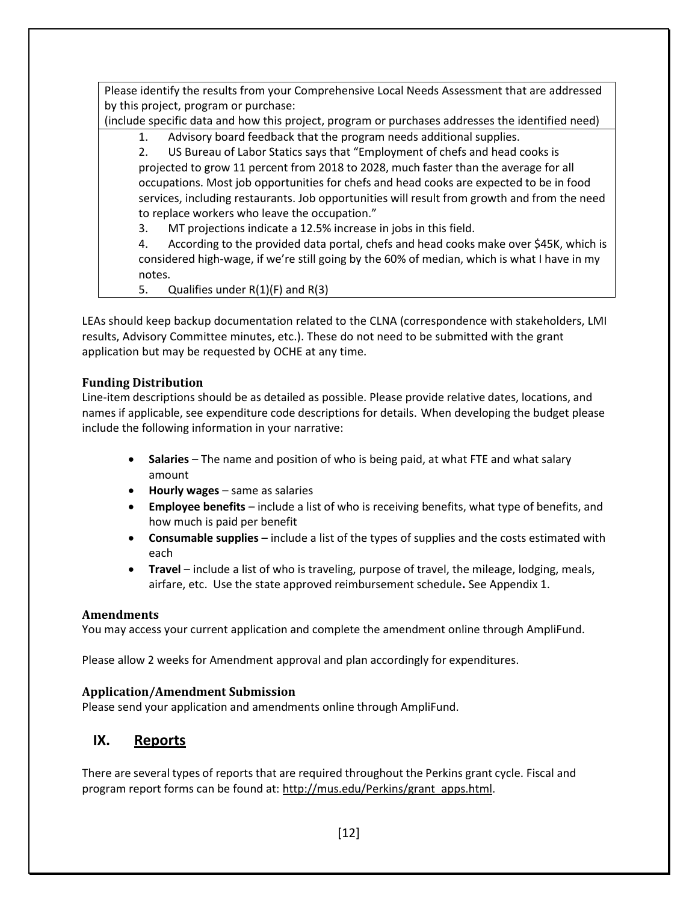Please identify the results from your Comprehensive Local Needs Assessment that are addressed by this project, program or purchase:

(include specific data and how this project, program or purchases addresses the identified need)

1. Advisory board feedback that the program needs additional supplies.

2. US Bureau of Labor Statics says that "Employment of chefs and head cooks is projected to grow 11 percent from 2018 to 2028, much faster than the average for all occupations. Most job opportunities for chefs and head cooks are expected to be in food services, including restaurants. Job opportunities will result from growth and from the need to replace workers who leave the occupation."

3. MT projections indicate a 12.5% increase in jobs in this field.

4. According to the provided data portal, chefs and head cooks make over \$45K, which is considered high-wage, if we're still going by the 60% of median, which is what I have in my notes.

5. Qualifies under  $R(1)(F)$  and  $R(3)$ 

LEAs should keep backup documentation related to the CLNA (correspondence with stakeholders, LMI results, Advisory Committee minutes, etc.). These do not need to be submitted with the grant application but may be requested by OCHE at any time.

#### **Funding Distribution**

Line-item descriptions should be as detailed as possible. Please provide relative dates, locations, and names if applicable, see expenditure code descriptions for details. When developing the budget please include the following information in your narrative:

- **Salaries** The name and position of who is being paid, at what FTE and what salary amount
- **Hourly wages** same as salaries
- **Employee benefits** include a list of who is receiving benefits, what type of benefits, and how much is paid per benefit
- **Consumable supplies** include a list of the types of supplies and the costs estimated with each
- **Travel** include a list of who is traveling, purpose of travel, the mileage, lodging, meals, airfare, etc. Use the state approved reimbursement schedule**.** See Appendix 1.

#### **Amendments**

You may access your current application and complete the amendment online through AmpliFund.

Please allow 2 weeks for Amendment approval and plan accordingly for expenditures.

#### **Application/Amendment Submission**

Please send your application and amendments online through AmpliFund.

## <span id="page-12-0"></span>**IX. Reports**

There are several types of reports that are required throughout the Perkins grant cycle. Fiscal and program report forms can be found at[: http://mus.edu/Perkins/grant\\_apps.html.](http://mus.edu/Perkins/grant_apps.html)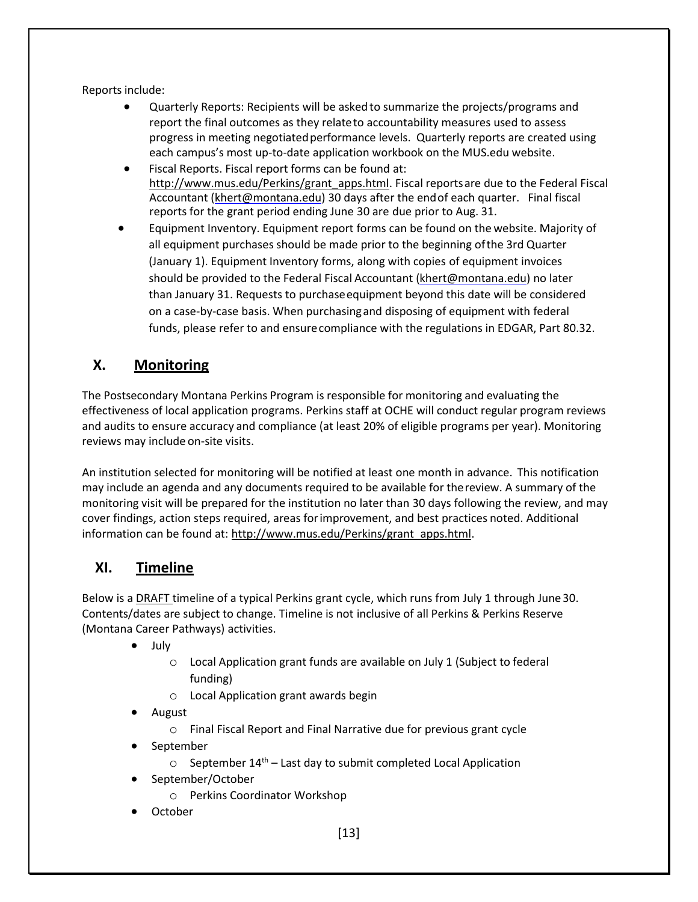Reports include:

- Quarterly Reports: Recipients will be asked to summarize the projects/programs and report the final outcomes as they relateto accountability measures used to assess progress in meeting negotiatedperformance levels. Quarterly reports are created using each campus's most up-to-date application workbook on the MUS.edu website.
- Fiscal Reports. Fiscal report forms can be found at: [http://www.mus.edu/Perkins/grant\\_apps.html.](http://www.mus.edu/Perkins/grant_apps.html) Fiscal reportsare due to the Federal Fiscal Accountant [\(khert@montana.edu\)](mailto:khert@montana.edu) 30 days after the endof each quarter. Final fiscal reports for the grant period ending June 30 are due prior to Aug. 31.
- Equipment Inventory. Equipment report forms can be found on the website. Majority of all equipment purchases should be made prior to the beginning ofthe 3rd Quarter (January 1). Equipment Inventory forms, along with copies of equipment invoices should be provided to the Federal Fiscal Accountant [\(khert@montana.edu\)](mailto:khert@montana.edu) no later than January 31. Requests to purchaseequipment beyond this date will be considered on a case-by-case basis. When purchasingand disposing of equipment with federal funds, please refer to and ensurecompliance with the regulations in EDGAR, Part 80.32.

## <span id="page-13-0"></span>**X. Monitoring**

The Postsecondary Montana Perkins Program is responsible for monitoring and evaluating the effectiveness of local application programs. Perkins staff at OCHE will conduct regular program reviews and audits to ensure accuracy and compliance (at least 20% of eligible programs per year). Monitoring reviews may include on-site visits.

An institution selected for monitoring will be notified at least one month in advance. This notification may include an agenda and any documents required to be available for thereview. A summary of the monitoring visit will be prepared for the institution no later than 30 days following the review, and may cover findings, action steps required, areas forimprovement, and best practices noted. Additional information can be found at: [http://www.mus.edu/Perkins/grant\\_apps.html.](http://www.mus.edu/Perkins/grant_apps.html)

## <span id="page-13-1"></span>**XI. Timeline**

Below is a DRAFT timeline of a typical Perkins grant cycle, which runs from July 1 through June30. Contents/dates are subject to change. Timeline is not inclusive of all Perkins & Perkins Reserve (Montana Career Pathways) activities.

- July
	- o Local Application grant funds are available on July 1 (Subject to federal funding)
	- o Local Application grant awards begin
- August
	- o Final Fiscal Report and Final Narrative due for previous grant cycle
- September
	- $\circ$  September 14<sup>th</sup> Last day to submit completed Local Application
- September/October
	- o Perkins Coordinator Workshop
- October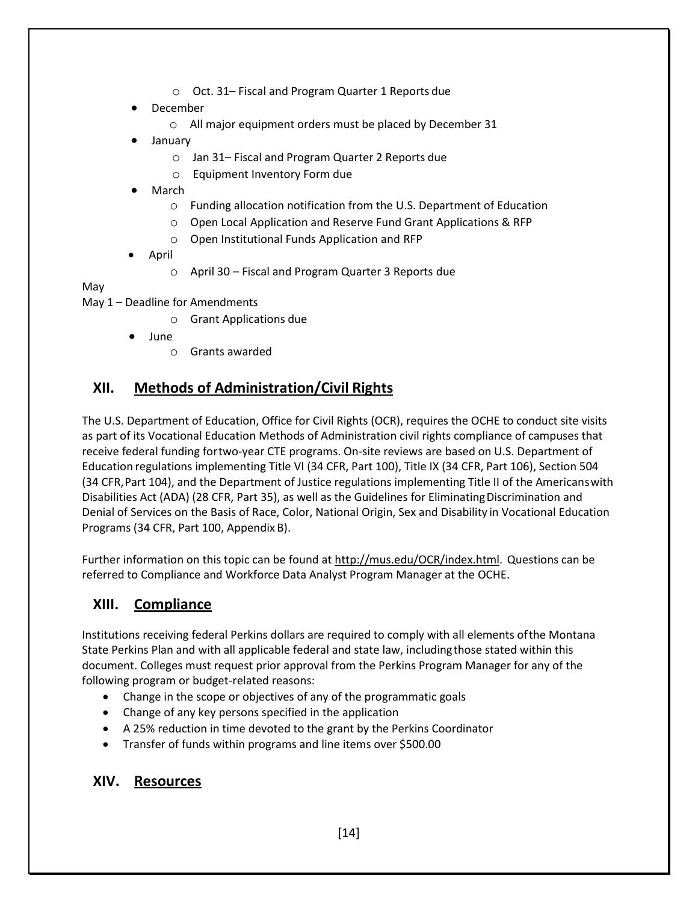- o Oct. 31– Fiscal and Program Quarter 1 Reports due
- **December** 
	- o All major equipment orders must be placed by December 31
- January
	- o Jan 31– Fiscal and Program Quarter 2 Reports due
	- o Equipment Inventory Form due
- March
	- o Funding allocation notification from the U.S. Department of Education
	- o Open Local Application and Reserve Fund Grant Applications & RFP
	- o Open Institutional Funds Application and RFP
- April
	- o April 30 Fiscal and Program Quarter 3 Reports due

#### May

May 1 – Deadline for Amendments

- o Grant Applications due
- June
	- o Grants awarded

## <span id="page-14-0"></span>**XII. Methods of Administration/Civil Rights**

The U.S. Department of Education, Office for Civil Rights (OCR), requires the OCHE to conduct site visits as part of its Vocational Education Methods of Administration civil rights compliance of campuses that receive federal funding fortwo-year CTE programs. On-site reviews are based on U.S. Department of Education regulations implementing Title VI (34 CFR, Part 100), Title IX (34 CFR, Part 106), Section 504 (34 CFR,Part 104), and the Department of Justice regulations implementing Title II of the Americanswith Disabilities Act (ADA) (28 CFR, Part 35), as well as the Guidelines for EliminatingDiscrimination and Denial of Services on the Basis of Race, Color, National Origin, Sex and Disability in Vocational Education Programs (34 CFR, Part 100, Appendix B).

Further information on this topic can be found a[t http://mus.edu/OCR/index.html.](http://mus.edu/OCR/index.html) Questions can be referred to Compliance and Workforce Data Analyst Program Manager at the OCHE.

## <span id="page-14-1"></span>**XIII. Compliance**

Institutions receiving federal Perkins dollars are required to comply with all elements ofthe Montana State Perkins Plan and with all applicable federal and state law, includingthose stated within this document. Colleges must request prior approval from the Perkins Program Manager for any of the following program or budget-related reasons:

- Change in the scope or objectives of any of the programmatic goals
- Change of any key persons specified in the application
- A 25% reduction in time devoted to the grant by the Perkins Coordinator
- Transfer of funds within programs and line items over \$500.00

## <span id="page-14-2"></span>**XIV. Resources**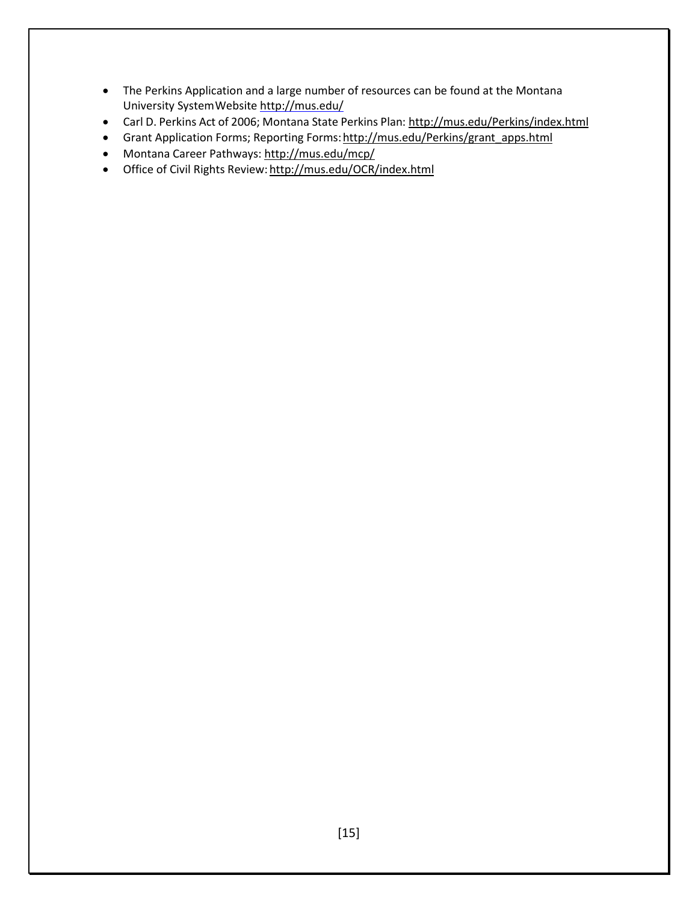- The Perkins Application and a large number of resources can be found at the Montana University SystemWebsite <http://mus.edu/>
- Carl D. Perkins Act of 2006; Montana State Perkins Plan[: http://mus.edu/Perkins/index.html](http://mus.edu/Perkins/index.html)
- Grant Application Forms; Reporting Forms: http://mus.edu/Perkins/grant\_apps.html
- Montana Career Pathways:<http://mus.edu/mcp/>
- Office of Civil Rights Review: <http://mus.edu/OCR/index.html>